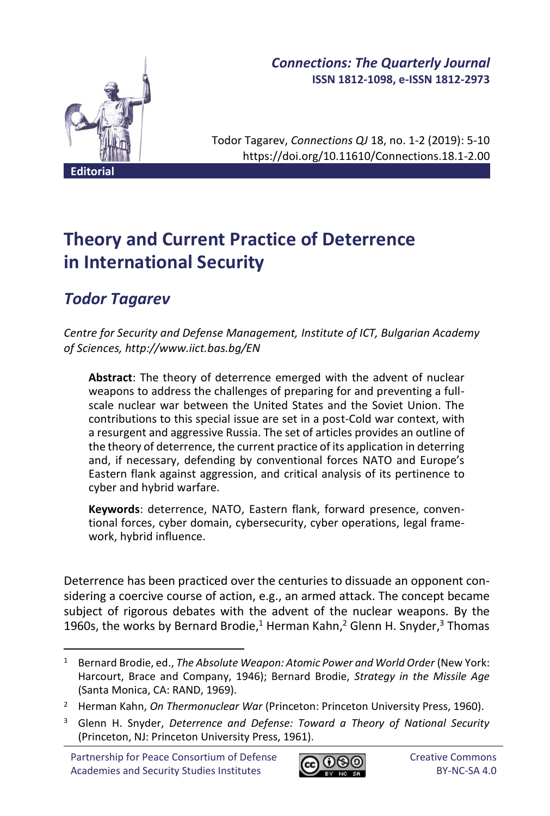

## *Connections: The Quarterly Journal* **ISSN 1812-1098, e-ISSN 1812-2973**

Todor Tagarev, *Connections QJ* 18, no. 1-2 (2019): 5-10 https://doi.org/10.11610/Connections.18.1-2.00

**Theory and Current Practice of Deterrence in International Security**

# *Todor Tagarev*

*Centre for Security and Defense Management, Institute of ICT, Bulgarian Academy of Sciences, http://www.iict.bas.bg/EN*

**Abstract**: The theory of deterrence emerged with the advent of nuclear weapons to address the challenges of preparing for and preventing a fullscale nuclear war between the United States and the Soviet Union. The contributions to this special issue are set in a post-Cold war context, with a resurgent and aggressive Russia. The set of articles provides an outline of the theory of deterrence, the current practice of its application in deterring and, if necessary, defending by conventional forces NATO and Europe's Eastern flank against aggression, and critical analysis of its pertinence to cyber and hybrid warfare.

**Keywords**: deterrence, NATO, Eastern flank, forward presence, conventional forces, cyber domain, cybersecurity, cyber operations, legal framework, hybrid influence.

Deterrence has been practiced over the centuries to dissuade an opponent considering a coercive course of action, e.g., an armed attack. The concept became subject of rigorous debates with the advent of the nuclear weapons. By the 1960s, the works by Bernard Brodie,<sup>1</sup> Herman Kahn,<sup>2</sup> Glenn H. Snyder,<sup>3</sup> Thomas

Partnership for Peace Consortium of Defense Academies and Security Studies Institutes



<sup>1</sup> Bernard Brodie, ed., *The Absolute Weapon: Atomic Power and World Order* (New York: Harcourt, Brace and Company, 1946); Bernard Brodie, *Strategy in the Missile Age* (Santa Monica, CA: RAND, 1969).

<sup>2</sup> Herman Kahn, *On Thermonuclear War* (Princeton: Princeton University Press, 1960).

<sup>3</sup> Glenn H. Snyder, *Deterrence and Defense: Toward a Theory of National Security* (Princeton, NJ: Princeton University Press, 1961).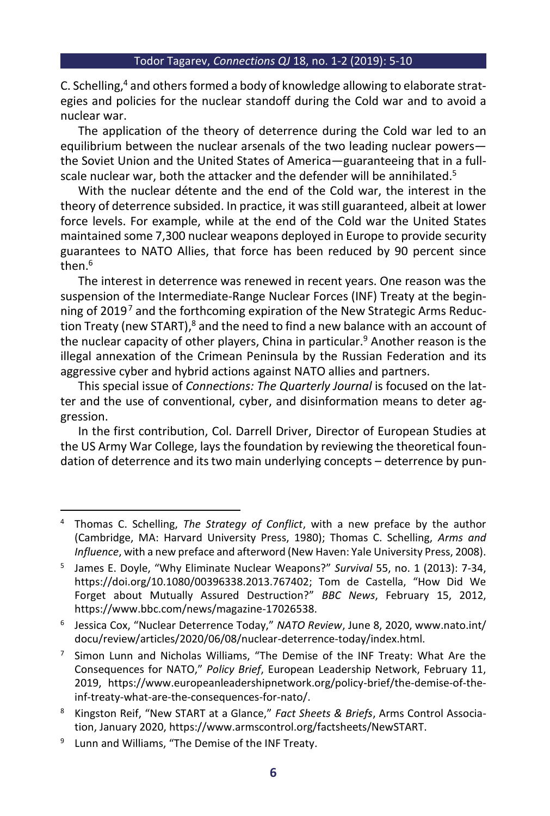C. Schelling,<sup>4</sup> and others formed a body of knowledge allowing to elaborate strategies and policies for the nuclear standoff during the Cold war and to avoid a nuclear war.

The application of the theory of deterrence during the Cold war led to an equilibrium between the nuclear arsenals of the two leading nuclear powers the Soviet Union and the United States of America—guaranteeing that in a fullscale nuclear war, both the attacker and the defender will be annihilated.<sup>5</sup>

With the nuclear détente and the end of the Cold war, the interest in the theory of deterrence subsided. In practice, it was still guaranteed, albeit at lower force levels. For example, while at the end of the Cold war the United States maintained some 7,300 nuclear weapons deployed in Europe to provide security guarantees to NATO Allies, that force has been reduced by 90 percent since then. 6

The interest in deterrence was renewed in recent years. One reason was the suspension of the Intermediate-Range Nuclear Forces (INF) Treaty at the beginning of 2019<sup>7</sup> and the forthcoming expiration of the New Strategic Arms Reduction Treaty (new START),<sup>8</sup> and the need to find a new balance with an account of the nuclear capacity of other players, China in particular.<sup>9</sup> Another reason is the illegal annexation of the Crimean Peninsula by the Russian Federation and its aggressive cyber and hybrid actions against NATO allies and partners.

This special issue of *Connections: The Quarterly Journal* is focused on the latter and the use of conventional, cyber, and disinformation means to deter aggression.

In the first contribution, Col. Darrell Driver, Director of European Studies at the US Army War College, lays the foundation by reviewing the theoretical foundation of deterrence and its two main underlying concepts – deterrence by pun-

<sup>4</sup> Thomas C. Schelling, *The Strategy of Conflict*, with a new preface by the author (Cambridge, MA: Harvard University Press, 1980); Thomas C. Schelling, *Arms and Influence*, with a new preface and afterword (New Haven: Yale University Press, 2008).

<sup>5</sup> James E. Doyle, "Why Eliminate Nuclear Weapons?" *Survival* 55, no. 1 (2013): 7-34, https://doi.org/10.1080/00396338.2013.767402; Tom de Castella, "How Did We Forget about Mutually Assured Destruction?" *BBC News*, February 15, 2012, https://www.bbc.com/news/magazine-17026538.

<sup>6</sup> Jessica Cox, "Nuclear Deterrence Today," *NATO Review*, June 8, 2020, www.nato.int/ docu/review/articles/2020/06/08/nuclear-deterrence-today/index.html.

<sup>&</sup>lt;sup>7</sup> Simon Lunn and Nicholas Williams, "The Demise of the INF Treaty: What Are the Consequences for NATO," *Policy Brief*, European Leadership Network, February 11, 2019, https://www.europeanleadershipnetwork.org/policy-brief/the-demise-of-theinf-treaty-what-are-the-consequences-for-nato/.

<sup>8</sup> Kingston Reif, "New START at a Glance," *Fact Sheets & Briefs*, Arms Control Association, January 2020, https://www.armscontrol.org/factsheets/NewSTART.

<sup>9</sup> Lunn and Williams, "The Demise of the INF Treaty.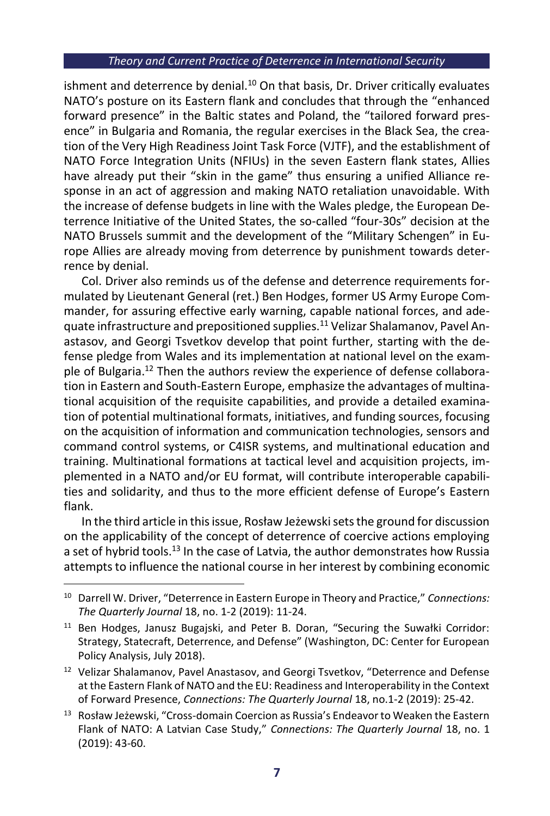### *Theory and Current Practice of Deterrence in International Security*

ishment and deterrence by denial. $10$  On that basis, Dr. Driver critically evaluates NATO's posture on its Eastern flank and concludes that through the "enhanced forward presence" in the Baltic states and Poland, the "tailored forward presence" in Bulgaria and Romania, the regular exercises in the Black Sea, the creation of the Very High Readiness Joint Task Force (VJTF), and the establishment of NATO Force Integration Units (NFIUs) in the seven Eastern flank states, Allies have already put their "skin in the game" thus ensuring a unified Alliance response in an act of aggression and making NATO retaliation unavoidable. With the increase of defense budgets in line with the Wales pledge, the European Deterrence Initiative of the United States, the so-called "four-30s" decision at the NATO Brussels summit and the development of the "Military Schengen" in Europe Allies are already moving from deterrence by punishment towards deterrence by denial.

Col. Driver also reminds us of the defense and deterrence requirements formulated by Lieutenant General (ret.) Ben Hodges, former US Army Europe Commander, for assuring effective early warning, capable national forces, and adequate infrastructure and prepositioned supplies.<sup>11</sup> Velizar Shalamanov, Pavel Anastasov, and Georgi Tsvetkov develop that point further, starting with the defense pledge from Wales and its implementation at national level on the example of Bulgaria.<sup>12</sup> Then the authors review the experience of defense collaboration in Eastern and South-Eastern Europe, emphasize the advantages of multinational acquisition of the requisite capabilities, and provide a detailed examination of potential multinational formats, initiatives, and funding sources, focusing on the acquisition of information and communication technologies, sensors and command control systems, or C4ISR systems, and multinational education and training. Multinational formations at tactical level and acquisition projects, implemented in a NATO and/or EU format, will contribute interoperable capabilities and solidarity, and thus to the more efficient defense of Europe's Eastern flank.

In the third article in this issue, Rosław Jeżewskisets the ground for discussion on the applicability of the concept of deterrence of coercive actions employing a set of hybrid tools.<sup>13</sup> In the case of Latvia, the author demonstrates how Russia attempts to influence the national course in her interest by combining economic

<sup>10</sup> Darrell W. Driver, "Deterrence in Eastern Europe in Theory and Practice," *Connections: The Quarterly Journal* 18, no. 1-2 (2019): 11-24.

<sup>11</sup> Ben Hodges, Janusz Bugajski, and Peter B. Doran, "Securing the Suwałki Corridor: Strategy, Statecraft, Deterrence, and Defense" (Washington, DC: Center for European Policy Analysis, July 2018).

<sup>&</sup>lt;sup>12</sup> Velizar Shalamanov, Pavel Anastasov, and Georgi Tsvetkov, "Deterrence and Defense at the Eastern Flank of NATO and the EU: Readiness and Interoperability in the Context of Forward Presence, *Connections: The Quarterly Journal* 18, no.1-2 (2019): 25-42.

<sup>&</sup>lt;sup>13</sup> Rosław Jeżewski, "Cross-domain Coercion as Russia's Endeavor to Weaken the Eastern Flank of NATO: A Latvian Case Study," *Connections: The Quarterly Journal* 18, no. 1 (2019): 43-60.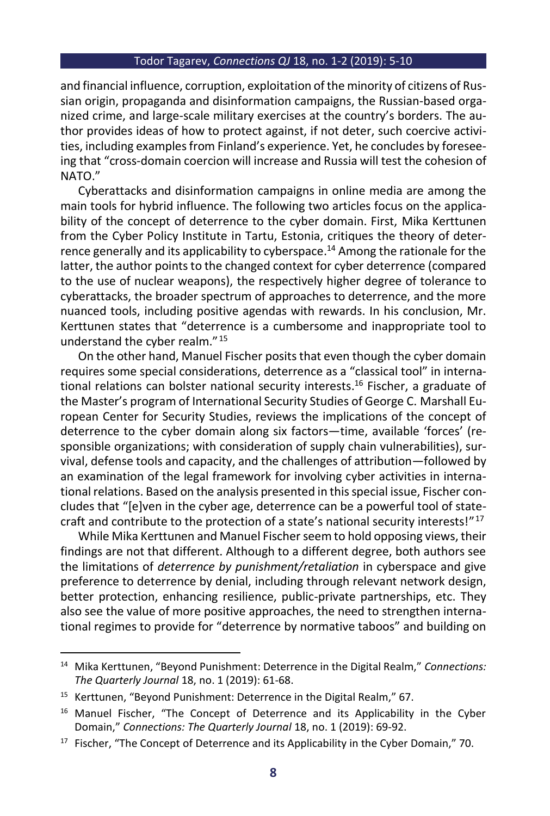#### Todor Tagarev, *Connections QJ* 18, no. 1-2 (2019): 5-10

and financial influence, corruption, exploitation of the minority of citizens of Russian origin, propaganda and disinformation campaigns, the Russian-based organized crime, and large-scale military exercises at the country's borders. The author provides ideas of how to protect against, if not deter, such coercive activities, including examples from Finland's experience. Yet, he concludes by foreseeing that "cross-domain coercion will increase and Russia will test the cohesion of NATO."

Cyberattacks and disinformation campaigns in online media are among the main tools for hybrid influence. The following two articles focus on the applicability of the concept of deterrence to the cyber domain. First, Mika Kerttunen from the Cyber Policy Institute in Tartu, Estonia, critiques the theory of deterrence generally and its applicability to cyberspace. <sup>14</sup> Among the rationale for the latter, the author points to the changed context for cyber deterrence (compared to the use of nuclear weapons), the respectively higher degree of tolerance to cyberattacks, the broader spectrum of approaches to deterrence, and the more nuanced tools, including positive agendas with rewards. In his conclusion, Mr. Kerttunen states that "deterrence is a cumbersome and inappropriate tool to understand the cyber realm." 15

On the other hand, Manuel Fischer posits that even though the cyber domain requires some special considerations, deterrence as a "classical tool" in international relations can bolster national security interests. <sup>16</sup> Fischer, a graduate of the Master's program of International Security Studies of George C. Marshall European Center for Security Studies, reviews the implications of the concept of deterrence to the cyber domain along six factors—time, available 'forces' (responsible organizations; with consideration of supply chain vulnerabilities), survival, defense tools and capacity, and the challenges of attribution—followed by an examination of the legal framework for involving cyber activities in international relations. Based on the analysis presented in this special issue, Fischer concludes that "[e]ven in the cyber age, deterrence can be a powerful tool of statecraft and contribute to the protection of a state's national security interests!" 17

While Mika Kerttunen and Manuel Fischer seem to hold opposing views, their findings are not that different. Although to a different degree, both authors see the limitations of *deterrence by punishment/retaliation* in cyberspace and give preference to deterrence by denial, including through relevant network design, better protection, enhancing resilience, public-private partnerships, etc. They also see the value of more positive approaches, the need to strengthen international regimes to provide for "deterrence by normative taboos" and building on

<sup>14</sup> Mika Kerttunen, "Beyond Punishment: Deterrence in the Digital Realm," *Connections: The Quarterly Journal* 18, no. 1 (2019): 61-68.

<sup>15</sup> Kerttunen, "Beyond Punishment: Deterrence in the Digital Realm," 67.

<sup>&</sup>lt;sup>16</sup> Manuel Fischer, "The Concept of Deterrence and its Applicability in the Cyber Domain," *Connections: The Quarterly Journal* 18, no. 1 (2019): 69-92.

 $17$  Fischer, "The Concept of Deterrence and its Applicability in the Cyber Domain," 70.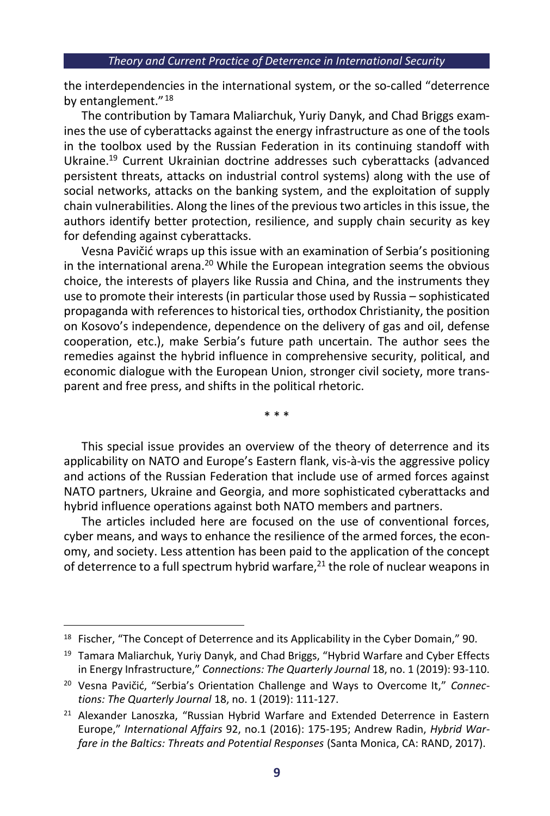the interdependencies in the international system, or the so-called "deterrence by entanglement."<sup>18</sup>

The contribution by Tamara Maliarchuk, Yuriy Danyk, and Chad Briggs examines the use of cyberattacks against the energy infrastructure as one of the tools in the toolbox used by the Russian Federation in its continuing standoff with Ukraine. <sup>19</sup> Current Ukrainian doctrine addresses such cyberattacks (advanced persistent threats, attacks on industrial control systems) along with the use of social networks, attacks on the banking system, and the exploitation of supply chain vulnerabilities. Along the lines of the previous two articles in this issue, the authors identify better protection, resilience, and supply chain security as key for defending against cyberattacks.

Vesna Pavičić wraps up this issue with an examination of Serbia's positioning in the international arena.<sup>20</sup> While the European integration seems the obvious choice, the interests of players like Russia and China, and the instruments they use to promote their interests (in particular those used by Russia – sophisticated propaganda with references to historical ties, orthodox Christianity, the position on Kosovo's independence, dependence on the delivery of gas and oil, defense cooperation, etc.), make Serbia's future path uncertain. The author sees the remedies against the hybrid influence in comprehensive security, political, and economic dialogue with the European Union, stronger civil society, more transparent and free press, and shifts in the political rhetoric.

\* \* \*

This special issue provides an overview of the theory of deterrence and its applicability on NATO and Europe's Eastern flank, vis-à-vis the aggressive policy and actions of the Russian Federation that include use of armed forces against NATO partners, Ukraine and Georgia, and more sophisticated cyberattacks and hybrid influence operations against both NATO members and partners.

The articles included here are focused on the use of conventional forces, cyber means, and ways to enhance the resilience of the armed forces, the economy, and society. Less attention has been paid to the application of the concept of deterrence to a full spectrum hybrid warfare, $21$  the role of nuclear weapons in

<sup>&</sup>lt;sup>18</sup> Fischer, "The Concept of Deterrence and its Applicability in the Cyber Domain," 90.

<sup>&</sup>lt;sup>19</sup> Tamara Maliarchuk, Yuriy Danyk, and Chad Briggs, "Hybrid Warfare and Cyber Effects in Energy Infrastructure," *Connections: The Quarterly Journal* 18, no. 1 (2019): 93-110.

<sup>20</sup> Vesna Pavičić, "Serbia's Orientation Challenge and Ways to Overcome It," *Connections: The Quarterly Journal* 18, no. 1 (2019): 111-127.

<sup>&</sup>lt;sup>21</sup> Alexander Lanoszka, "Russian Hybrid Warfare and Extended Deterrence in Eastern Europe," *International Affairs* 92, no.1 (2016): 175-195; Andrew Radin, *Hybrid Warfare in the Baltics: Threats and Potential Responses* (Santa Monica, CA: RAND, 2017).